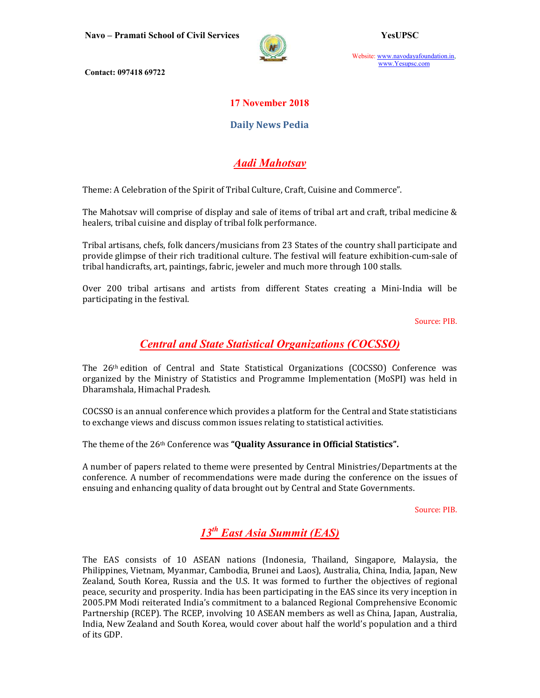Navo – Pramati School of Civil Services YesUPSC



Website: www.navodayafoundation.in, www.Yesupsc.com

Contact: 097418 69722

### 17 November 2018

### Daily News Pedia

## Aadi Mahotsav

Theme: A Celebration of the Spirit of Tribal Culture, Craft, Cuisine and Commerce".

The Mahotsav will comprise of display and sale of items of tribal art and craft, tribal medicine & healers, tribal cuisine and display of tribal folk performance.

Tribal artisans, chefs, folk dancers/musicians from 23 States of the country shall participate and provide glimpse of their rich traditional culture. The festival will feature exhibition-cum-sale of tribal handicrafts, art, paintings, fabric, jeweler and much more through 100 stalls.

Over 200 tribal artisans and artists from different States creating a Mini-India will be participating in the festival.

Source: PIB.

### Central and State Statistical Organizations (COCSSO)

The 26th edition of Central and State Statistical Organizations (COCSSO) Conference was organized by the Ministry of Statistics and Programme Implementation (MoSPI) was held in Dharamshala, Himachal Pradesh.

COCSSO is an annual conference which provides a platform for the Central and State statisticians to exchange views and discuss common issues relating to statistical activities.

The theme of the 26<sup>th</sup> Conference was "**Quality Assurance in Official Statistics**".

A number of papers related to theme were presented by Central Ministries/Departments at the conference. A number of recommendations were made during the conference on the issues of ensuing and enhancing quality of data brought out by Central and State Governments.

Source: PIB.

# $13^{th}$  East Asia Summit (EAS)

The EAS consists of 10 ASEAN nations (Indonesia, Thailand, Singapore, Malaysia, the Philippines, Vietnam, Myanmar, Cambodia, Brunei and Laos), Australia, China, India, Japan, New Zealand, South Korea, Russia and the U.S. It was formed to further the objectives of regional peace, security and prosperity. India has been participating in the EAS since its very inception in 2005.PM Modi reiterated India's commitment to a balanced Regional Comprehensive Economic Partnership (RCEP). The RCEP, involving 10 ASEAN members as well as China, Japan, Australia, India, New Zealand and South Korea, would cover about half the world's population and a third of its GDP.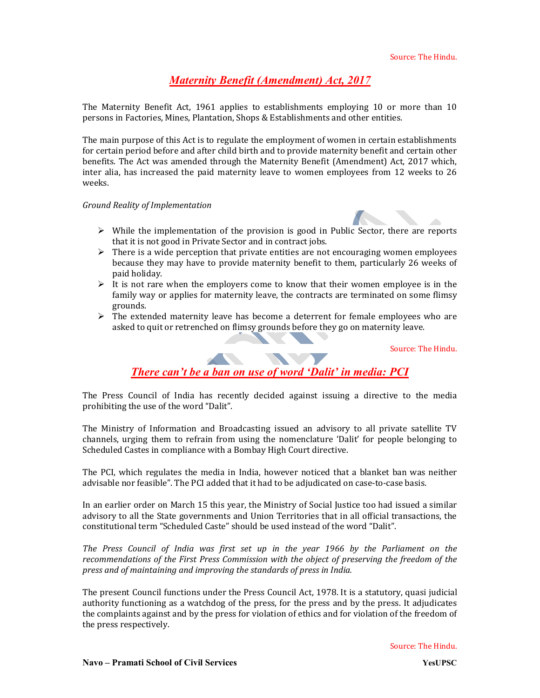## Maternity Benefit (Amendment) Act, 2017

The Maternity Benefit Act, 1961 applies to establishments employing 10 or more than 10 persons in Factories, Mines, Plantation, Shops & Establishments and other entities.

The main purpose of this Act is to regulate the employment of women in certain establishments for certain period before and after child birth and to provide maternity benefit and certain other benefits. The Act was amended through the Maternity Benefit (Amendment) Act, 2017 which, inter alia, has increased the paid maternity leave to women employees from 12 weeks to 26 weeks.

#### Ground Reality of Implementation



- $\triangleright$  While the implementation of the provision is good in Public Sector, there are reports that it is not good in Private Sector and in contract jobs.
- $\triangleright$  There is a wide perception that private entities are not encouraging women employees because they may have to provide maternity benefit to them, particularly 26 weeks of paid holiday.
- $\triangleright$  It is not rare when the employers come to know that their women employee is in the family way or applies for maternity leave, the contracts are terminated on some flimsy grounds.
- $\triangleright$  The extended maternity leave has become a deterrent for female employees who are asked to quit or retrenched on flimsy grounds before they go on maternity leave.

Source: The Hindu.

# There can't be a ban on use of word 'Dalit' in media: PCI

The Press Council of India has recently decided against issuing a directive to the media prohibiting the use of the word "Dalit".

The Ministry of Information and Broadcasting issued an advisory to all private satellite TV channels, urging them to refrain from using the nomenclature 'Dalit' for people belonging to Scheduled Castes in compliance with a Bombay High Court directive.

The PCI, which regulates the media in India, however noticed that a blanket ban was neither advisable nor feasible". The PCI added that it had to be adjudicated on case-to-case basis.

In an earlier order on March 15 this year, the Ministry of Social Justice too had issued a similar advisory to all the State governments and Union Territories that in all official transactions, the constitutional term "Scheduled Caste" should be used instead of the word "Dalit".

The Press Council of India was first set up in the year 1966 by the Parliament on the recommendations of the First Press Commission with the object of preserving the freedom of the press and of maintaining and improving the standards of press in India.

The present Council functions under the Press Council Act, 1978. It is a statutory, quasi judicial authority functioning as a watchdog of the press, for the press and by the press. It adjudicates the complaints against and by the press for violation of ethics and for violation of the freedom of the press respectively.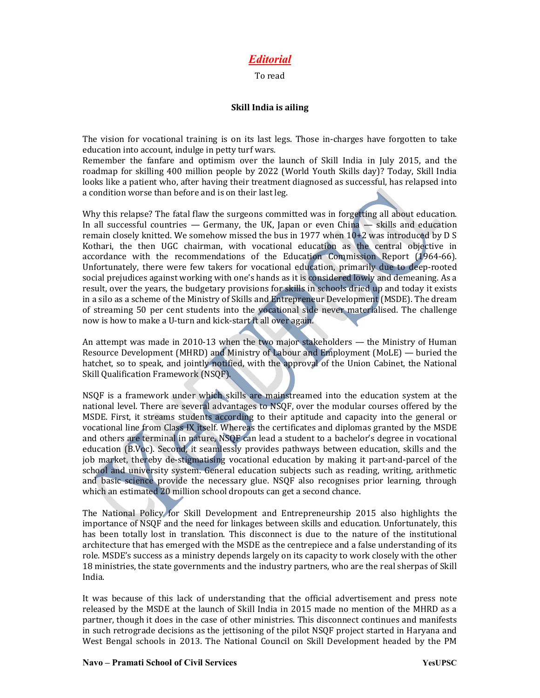### Editorial

#### To read

#### Skill India is ailing

The vision for vocational training is on its last legs. Those in-charges have forgotten to take education into account, indulge in petty turf wars.

Remember the fanfare and optimism over the launch of Skill India in July 2015, and the roadmap for skilling 400 million people by 2022 (World Youth Skills day)? Today, Skill India looks like a patient who, after having their treatment diagnosed as successful, has relapsed into a condition worse than before and is on their last leg.

Why this relapse? The fatal flaw the surgeons committed was in forgetting all about education. In all successful countries  $-$  Germany, the UK, Japan or even China  $-$  skills and education remain closely knitted. We somehow missed the bus in 1977 when 10+2 was introduced by D S Kothari, the then UGC chairman, with vocational education as the central objective in accordance with the recommendations of the Education Commission Report (1964-66). Unfortunately, there were few takers for vocational education, primarily due to deep-rooted social prejudices against working with one's hands as it is considered lowly and demeaning. As a result, over the years, the budgetary provisions for skills in schools dried up and today it exists in a silo as a scheme of the Ministry of Skills and Entrepreneur Development (MSDE). The dream of streaming 50 per cent students into the vocational side never materialised. The challenge now is how to make a U-turn and kick-start it all over again.

An attempt was made in 2010-13 when the two major stakeholders — the Ministry of Human Resource Development (MHRD) and Ministry of Labour and Employment (MoLE) — buried the hatchet, so to speak, and jointly notified, with the approval of the Union Cabinet, the National Skill Qualification Framework (NSQF).

NSQF is a framework under which skills are mainstreamed into the education system at the national level. There are several advantages to NSQF, over the modular courses offered by the MSDE. First, it streams students according to their aptitude and capacity into the general or vocational line from Class IX itself. Whereas the certificates and diplomas granted by the MSDE and others are terminal in nature, NSQF can lead a student to a bachelor's degree in vocational education (B.Voc). Second, it seamlessly provides pathways between education, skills and the job market, thereby de-stigmatising vocational education by making it part-and-parcel of the school and university system. General education subjects such as reading, writing, arithmetic and basic science provide the necessary glue. NSQF also recognises prior learning, through which an estimated 20 million school dropouts can get a second chance.

The National Policy for Skill Development and Entrepreneurship 2015 also highlights the importance of NSQF and the need for linkages between skills and education. Unfortunately, this has been totally lost in translation. This disconnect is due to the nature of the institutional architecture that has emerged with the MSDE as the centrepiece and a false understanding of its role. MSDE's success as a ministry depends largely on its capacity to work closely with the other 18 ministries, the state governments and the industry partners, who are the real sherpas of Skill India.

It was because of this lack of understanding that the official advertisement and press note released by the MSDE at the launch of Skill India in 2015 made no mention of the MHRD as a partner, though it does in the case of other ministries. This disconnect continues and manifests in such retrograde decisions as the jettisoning of the pilot NSQF project started in Haryana and West Bengal schools in 2013. The National Council on Skill Development headed by the PM